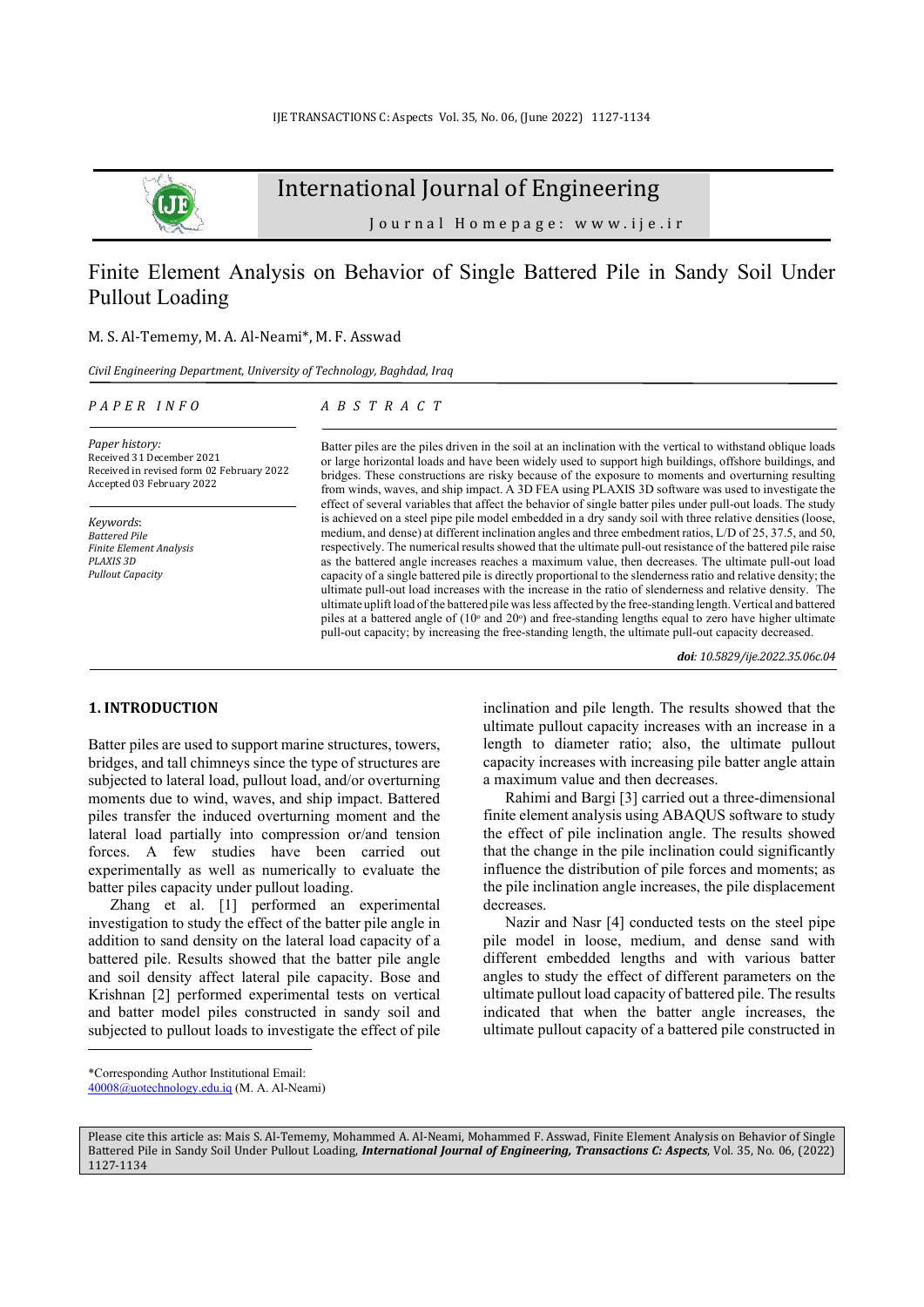

International Journal of Engineering

Journal Homepage: www.ije.ir

# Finite Element Analysis on Behavior of Single Battered Pile in Sandy Soil Under Pullout Loading

# M. S. Al-Tememy, M. A. Al-Neami\*, M. F. Asswad

*Civil Engineering Department, University of Technology, Baghdad, Iraq*

#### *P A P E R I N F O*

# *A B S T R A C T*

*Paper history:*  Received 31 December 2021 Received in revised form 02 February 2022 Accepted 03 February 2022

*Keywords*: *Battered Pile Finite Element Analysis PLAXIS 3D Pullout Capacity* 

Batter piles are the piles driven in the soil at an inclination with the vertical to withstand oblique loads or large horizontal loads and have been widely used to support high buildings, offshore buildings, and bridges. These constructions are risky because of the exposure to moments and overturning resulting from winds, waves, and ship impact. A 3D FEA using PLAXIS 3D software was used to investigate the effect of several variables that affect the behavior of single batter piles under pull-out loads. The study is achieved on a steel pipe pile model embedded in a dry sandy soil with three relative densities (loose, medium, and dense) at different inclination angles and three embedment ratios, L/D of 25, 37.5, and 50, respectively. The numerical results showed that the ultimate pull-out resistance of the battered pile raise as the battered angle increases reaches a maximum value, then decreases. The ultimate pull-out load capacity of a single battered pile is directly proportional to the slenderness ratio and relative density; the ultimate pull-out load increases with the increase in the ratio of slenderness and relative density. The ultimate uplift load of the battered pile was less affected by the free-standing length. Vertical and battered piles at a battered angle of (10<sup>°</sup> and 20<sup>°</sup>) and free-standing lengths equal to zero have higher ultimate pull-out capacity; by increasing the free-standing length, the ultimate pull-out capacity decreased.

*doi: 10.5829/ije.2022.35.06c.04*

## **1. INTRODUCTION<sup>1</sup>**

Batter piles are used to support marine structures, towers, bridges, and tall chimneys since the type of structures are subjected to lateral load, pullout load, and/or overturning moments due to wind, waves, and ship impact. Battered piles transfer the induced overturning moment and the lateral load partially into compression or/and tension forces. A few studies have been carried out experimentally as well as numerically to evaluate the batter piles capacity under pullout loading.

Zhang et al. [1] performed an experimental investigation to study the effect of the batter pile angle in addition to sand density on the lateral load capacity of a battered pile. Results showed that the batter pile angle and soil density affect lateral pile capacity. Bose and Krishnan [2] performed experimental tests on vertical and batter model piles constructed in sandy soil and subjected to pullout loads to investigate the effect of pile

Rahimi and Bargi [3] carried out a three-dimensional finite element analysis using ABAQUS software to study the effect of pile inclination angle. The results showed that the change in the pile inclination could significantly influence the distribution of pile forces and moments; as the pile inclination angle increases, the pile displacement decreases.

Nazir and Nasr [4] conducted tests on the steel pipe pile model in loose, medium, and dense sand with different embedded lengths and with various batter angles to study the effect of different parameters on the ultimate pullout load capacity of battered pile. The results indicated that when the batter angle increases, the ultimate pullout capacity of a battered pile constructed in

inclination and pile length. The results showed that the ultimate pullout capacity increases with an increase in a length to diameter ratio; also, the ultimate pullout capacity increases with increasing pile batter angle attain a maximum value and then decreases.

<sup>\*</sup>Corresponding Author Institutional Email: 40008@uotechnology.edu.iq (M. A. Al-Neami)

Please cite this article as: Mais S. Al-Tememy, Mohammed A. Al-Neami, Mohammed F. Asswad, Finite Element Analysis on Behavior of Single Battered Pile in Sandy Soil Under Pullout Loading, *International Journal of Engineering, Transactions C: Aspects*, Vol. 35, No. 06, (2022) 1127-1134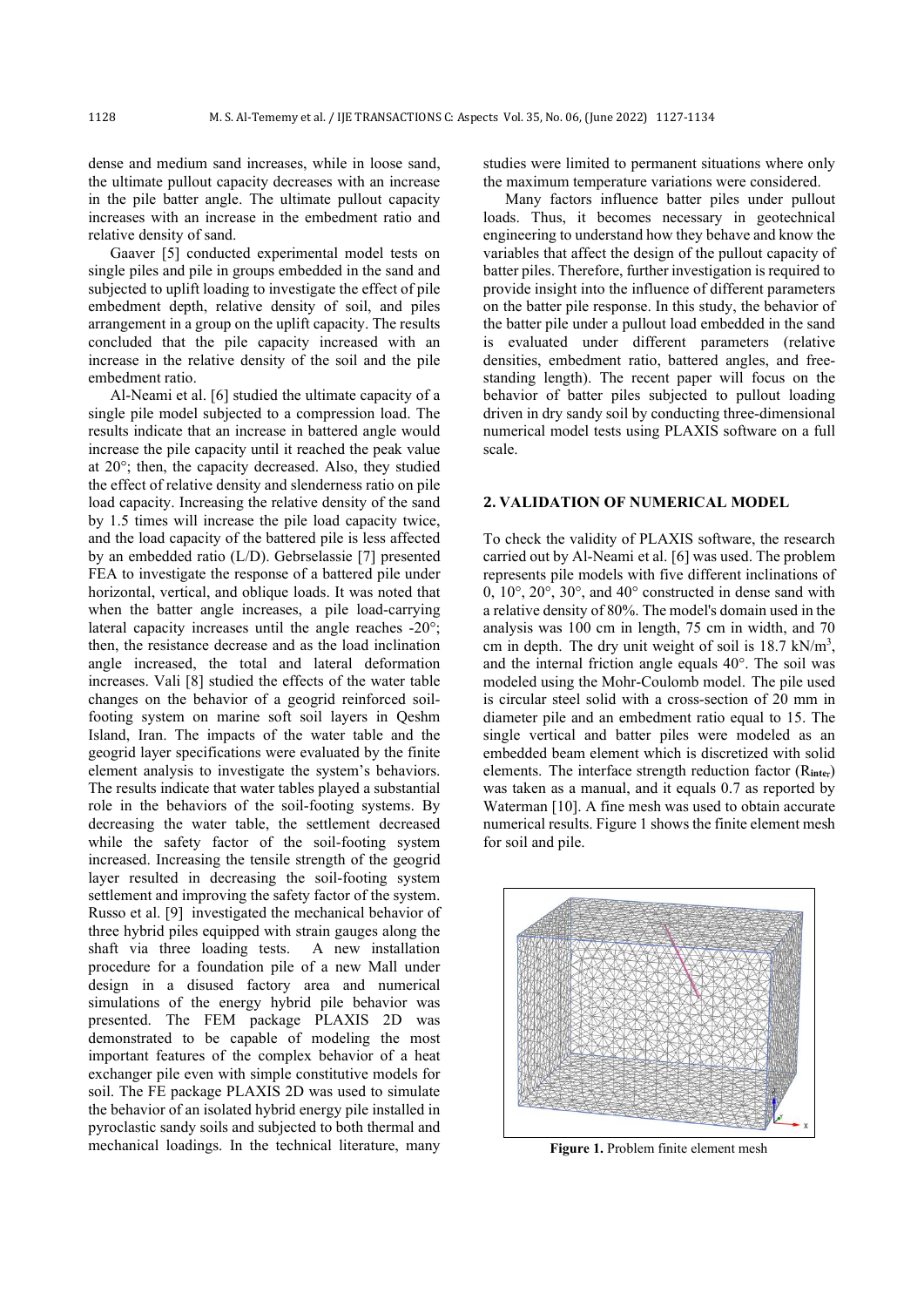dense and medium sand increases, while in loose sand, the ultimate pullout capacity decreases with an increase in the pile batter angle. The ultimate pullout capacity increases with an increase in the embedment ratio and relative density of sand.

Gaaver [5] conducted experimental model tests on single piles and pile in groups embedded in the sand and subjected to uplift loading to investigate the effect of pile embedment depth, relative density of soil, and piles arrangement in a group on the uplift capacity. The results concluded that the pile capacity increased with an increase in the relative density of the soil and the pile embedment ratio.

Al-Neami et al. [6] studied the ultimate capacity of a single pile model subjected to a compression load. The results indicate that an increase in battered angle would increase the pile capacity until it reached the peak value at 20°; then, the capacity decreased. Also, they studied the effect of relative density and slenderness ratio on pile load capacity. Increasing the relative density of the sand by 1.5 times will increase the pile load capacity twice, and the load capacity of the battered pile is less affected by an embedded ratio (L/D). Gebrselassie [7] presented FEA to investigate the response of a battered pile under horizontal, vertical, and oblique loads. It was noted that when the batter angle increases, a pile load-carrying lateral capacity increases until the angle reaches -20°; then, the resistance decrease and as the load inclination angle increased, the total and lateral deformation increases. Vali [8] studied the effects of the water table changes on the behavior of a geogrid reinforced soilfooting system on marine soft soil layers in Qeshm Island, Iran. The impacts of the water table and the geogrid layer specifications were evaluated by the finite element analysis to investigate the system's behaviors. The results indicate that water tables played a substantial role in the behaviors of the soil-footing systems. By decreasing the water table, the settlement decreased while the safety factor of the soil-footing system increased. Increasing the tensile strength of the geogrid layer resulted in decreasing the soil-footing system settlement and improving the safety factor of the system. Russo et al. [9] investigated the mechanical behavior of three hybrid piles equipped with strain gauges along the shaft via three loading tests. A new installation procedure for a foundation pile of a new Mall under design in a disused factory area and numerical simulations of the energy hybrid pile behavior was presented. The FEM package PLAXIS 2D was demonstrated to be capable of modeling the most important features of the complex behavior of a heat exchanger pile even with simple constitutive models for soil. The FE package PLAXIS 2D was used to simulate the behavior of an isolated hybrid energy pile installed in pyroclastic sandy soils and subjected to both thermal and mechanical loadings. In the technical literature, many

studies were limited to permanent situations where only the maximum temperature variations were considered.

Many factors influence batter piles under pullout loads. Thus, it becomes necessary in geotechnical engineering to understand how they behave and know the variables that affect the design of the pullout capacity of batter piles. Therefore, further investigation is required to provide insight into the influence of different parameters on the batter pile response. In this study, the behavior of the batter pile under a pullout load embedded in the sand is evaluated under different parameters (relative densities, embedment ratio, battered angles, and freestanding length). The recent paper will focus on the behavior of batter piles subjected to pullout loading driven in dry sandy soil by conducting three-dimensional numerical model tests using PLAXIS software on a full scale.

#### **2. VALIDATION OF NUMERICAL MODEL**

To check the validity of PLAXIS software, the research carried out by Al-Neami et al. [6] was used. The problem represents pile models with five different inclinations of 0, 10°, 20°, 30°, and 40° constructed in dense sand with a relative density of 80%. The model's domain used in the analysis was 100 cm in length, 75 cm in width, and 70 cm in depth. The dry unit weight of soil is  $18.7 \text{ kN/m}^3$ , and the internal friction angle equals 40°. The soil was modeled using the Mohr-Coulomb model. The pile used is circular steel solid with a cross-section of 20 mm in diameter pile and an embedment ratio equal to 15. The single vertical and batter piles were modeled as an embedded beam element which is discretized with solid elements. The interface strength reduction factor (R**inte**r) was taken as a manual, and it equals 0.7 as reported by Waterman [10]. A fine mesh was used to obtain accurate numerical results. Figure 1 shows the finite element mesh for soil and pile.



**Figure 1.** Problem finite element mesh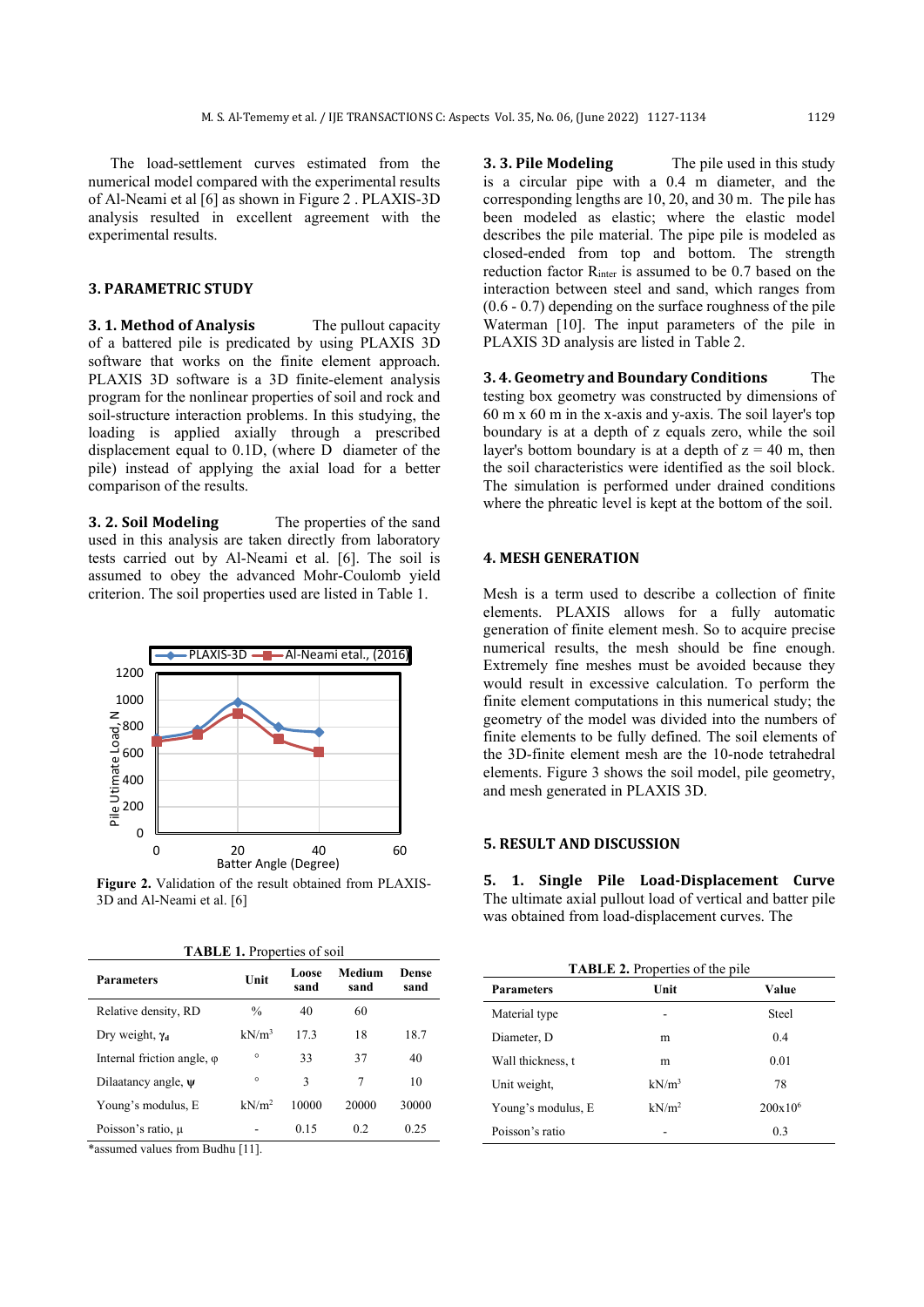The load-settlement curves estimated from the numerical model compared with the experimental results of Al-Neami et al [6] as shown in Figure 2 . PLAXIS-3D analysis resulted in excellent agreement with the experimental results.

## **3. PARAMETRIC STUDY**

**3. 1. Method of Analysis** The pullout capacity of a battered pile is predicated by using PLAXIS 3D software that works on the finite element approach. PLAXIS 3D software is a 3D finite-element analysis program for the nonlinear properties of soil and rock and soil-structure interaction problems. In this studying, the loading is applied axially through a prescribed displacement equal to 0.1D, (where D diameter of the pile) instead of applying the axial load for a better comparison of the results.

**3. 2. Soil Modeling** The properties of the sand used in this analysis are taken directly from laboratory tests carried out by Al-Neami et al. [6]. The soil is assumed to obey the advanced Mohr-Coulomb yield criterion. The soil properties used are listed in Table 1.



**Figure 2.** Validation of the result obtained from PLAXIS-3D and Al-Neami et al. [6]

**TABLE 1.** Properties of soil

**Dense** 

| <b>Parameters</b>                               | Unit | Loose<br>sand | Medium<br>sand |
|-------------------------------------------------|------|---------------|----------------|
| the contract of the contract of the contract of |      |               |                |

| .             | sand  | sand  | sand  |
|---------------|-------|-------|-------|
| $\frac{0}{0}$ | 40    | 60    |       |
| $kN/m^3$      | 17.3  | 18    | 18.7  |
| $\circ$       | 33    | 37    | 40    |
| $\circ$       | 3     | 7     | 10    |
| $kN/m^2$      | 10000 | 20000 | 30000 |
|               | 0.15  | 0.2   | 0.25  |
|               |       |       |       |

\*assumed values from Budhu [11].

**3. 3. Pile Modeling** The pile used in this study is a circular pipe with a 0.4 m diameter, and the corresponding lengths are 10, 20, and 30 m. The pile has been modeled as elastic; where the elastic model describes the pile material. The pipe pile is modeled as closed-ended from top and bottom. The strength reduction factor R<sub>inter</sub> is assumed to be 0.7 based on the interaction between steel and sand, which ranges from (0.6 - 0.7) depending on the surface roughness of the pile Waterman [10]. The input parameters of the pile in PLAXIS 3D analysis are listed in Table 2.

**3. 4. Geometry and Boundary Conditions** The testing box geometry was constructed by dimensions of 60 m x 60 m in the x-axis and y-axis. The soil layer's top boundary is at a depth of z equals zero, while the soil layer's bottom boundary is at a depth of  $z = 40$  m, then the soil characteristics were identified as the soil block. The simulation is performed under drained conditions where the phreatic level is kept at the bottom of the soil.

## **4. MESH GENERATION**

Mesh is a term used to describe a collection of finite elements. PLAXIS allows for a fully automatic generation of finite element mesh. So to acquire precise numerical results, the mesh should be fine enough. Extremely fine meshes must be avoided because they would result in excessive calculation. To perform the finite element computations in this numerical study; the geometry of the model was divided into the numbers of finite elements to be fully defined. The soil elements of the 3D-finite element mesh are the 10-node tetrahedral elements. Figure 3 shows the soil model, pile geometry, and mesh generated in PLAXIS 3D.

## **5. RESULT AND DISCUSSION**

**5. 1. Single Pile Load-Displacement Curve**  The ultimate axial pullout load of vertical and batter pile was obtained from load-displacement curves. The

| TABLE 2. Properties of the pile |                   |            |  |  |  |
|---------------------------------|-------------------|------------|--|--|--|
| <b>Parameters</b>               | Unit              | Value      |  |  |  |
| Material type                   | -                 | Steel      |  |  |  |
| Diameter, D.                    | m                 | 0.4        |  |  |  |
| Wall thickness, t               | m                 | 0.01       |  |  |  |
| Unit weight,                    | $kN/m^3$          | 78         |  |  |  |
| Young's modulus, E              | kN/m <sup>2</sup> | $200x10^6$ |  |  |  |
| Poisson's ratio                 |                   | 0.3        |  |  |  |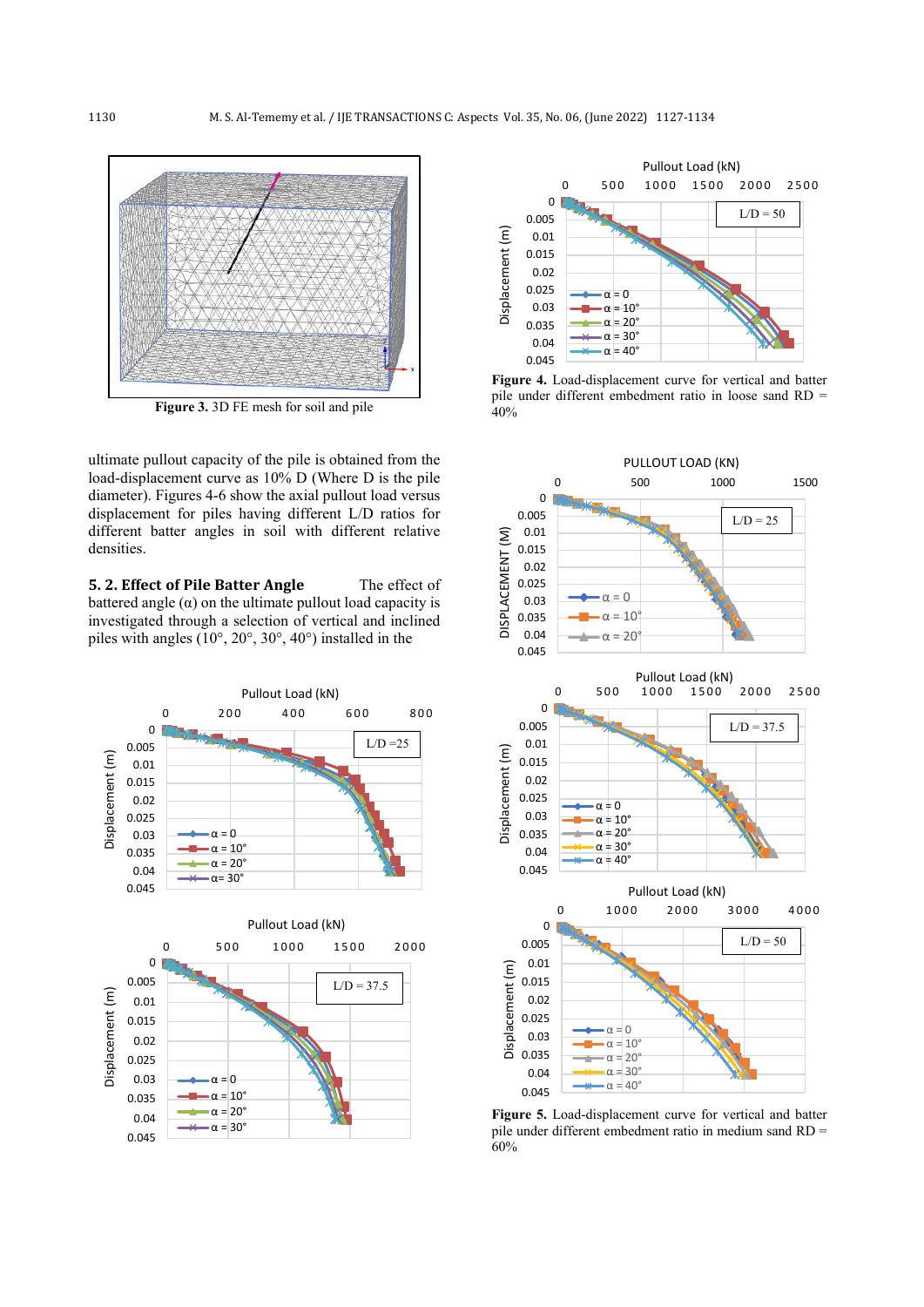

**Figure 3.** 3D FE mesh for soil and pile

ultimate pullout capacity of the pile is obtained from the load-displacement curve as 10% D (Where D is the pile diameter). Figures 4-6 show the axial pullout load versus displacement for piles having different L/D ratios for different batter angles in soil with different relative densities.

**5. 2. Effect of Pile Batter Angle** The effect of battered angle  $(\alpha)$  on the ultimate pullout load capacity is investigated through a selection of vertical and inclined piles with angles (10°, 20°, 30°, 40°) installed in the





**Figure 4.** Load-displacement curve for vertical and batter pile under different embedment ratio in loose sand RD = 40%



**Figure 5.** Load-displacement curve for vertical and batter pile under different embedment ratio in medium sand RD = 60%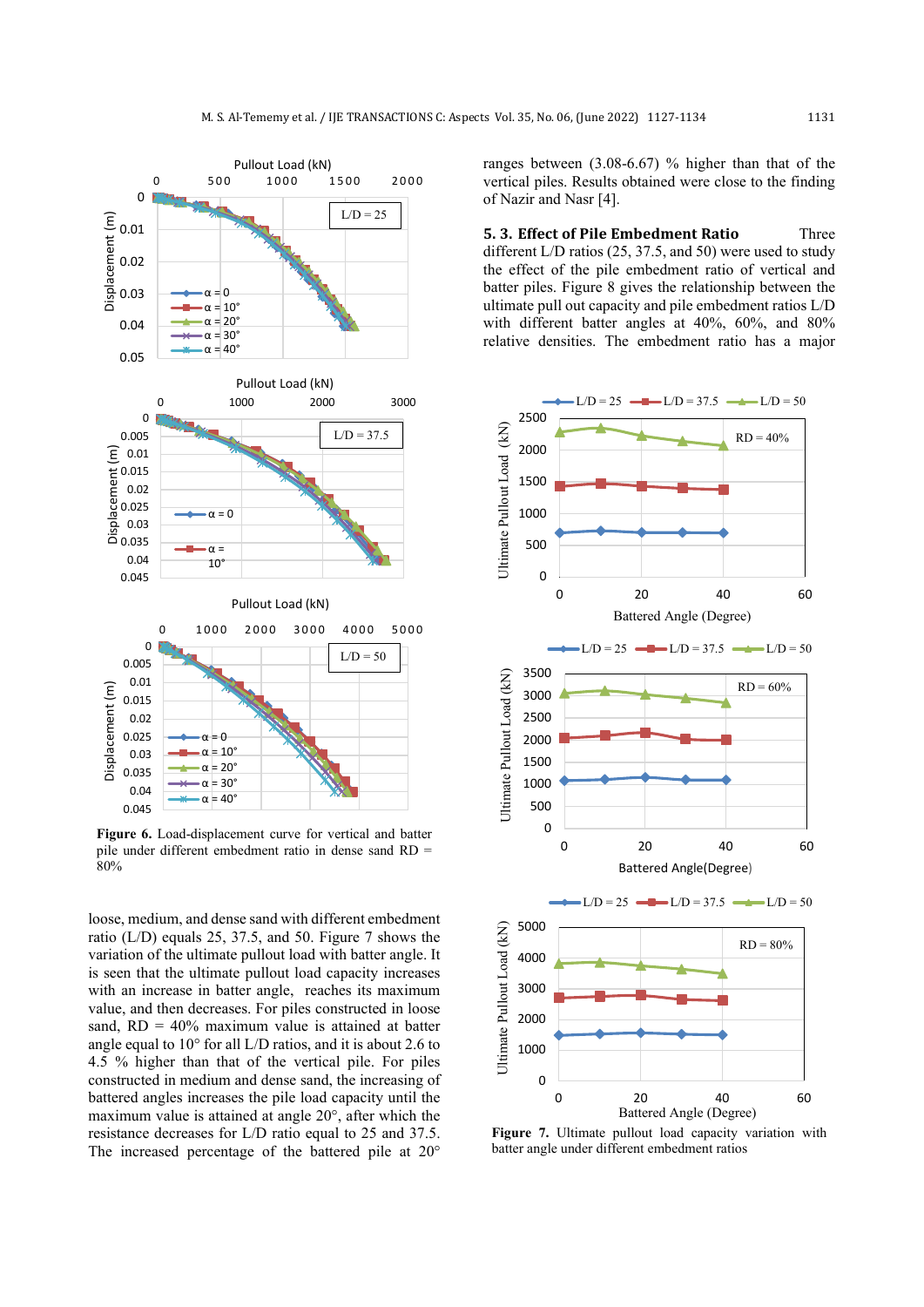

**Figure 6.** Load-displacement curve for vertical and batter pile under different embedment ratio in dense sand RD = 80%

loose, medium, and dense sand with different embedment ratio (L/D) equals 25, 37.5, and 50. Figure 7 shows the variation of the ultimate pullout load with batter angle. It is seen that the ultimate pullout load capacity increases with an increase in batter angle, reaches its maximum value, and then decreases. For piles constructed in loose sand,  $RD = 40\%$  maximum value is attained at batter angle equal to 10° for all L/D ratios, and it is about 2.6 to 4.5 % higher than that of the vertical pile. For piles constructed in medium and dense sand, the increasing of battered angles increases the pile load capacity until the maximum value is attained at angle 20°, after which the resistance decreases for L/D ratio equal to 25 and 37.5. The increased percentage of the battered pile at 20°

ranges between (3.08-6.67) % higher than that of the vertical piles. Results obtained were close to the finding of Nazir and Nasr [4].

**5. 3. Effect of Pile Embedment Ratio** Three different L/D ratios (25, 37.5, and 50) were used to study the effect of the pile embedment ratio of vertical and batter piles. Figure 8 gives the relationship between the ultimate pull out capacity and pile embedment ratios L/D with different batter angles at 40%, 60%, and 80% relative densities. The embedment ratio has a major



**Figure 7.** Ultimate pullout load capacity variation with batter angle under different embedment ratios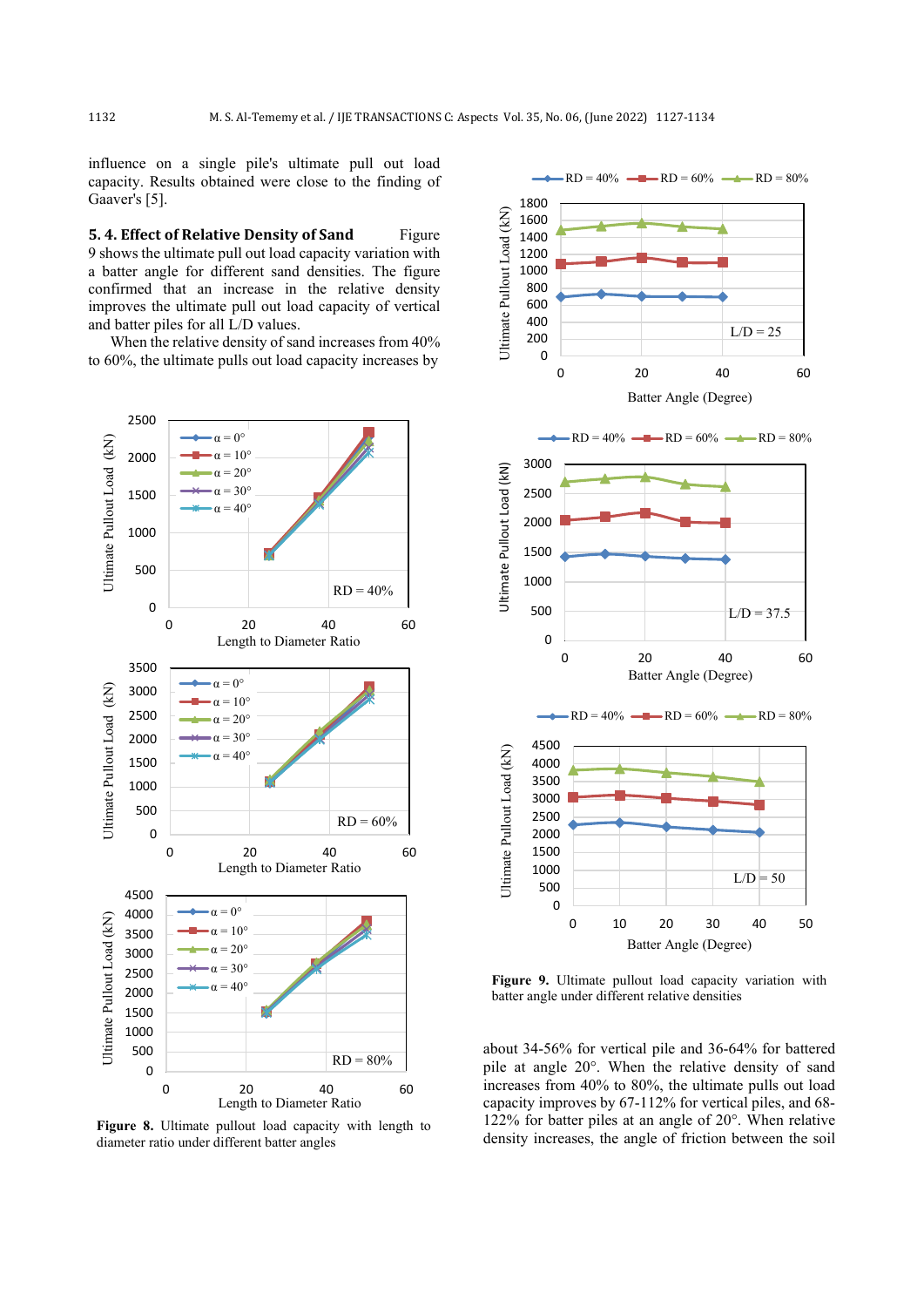influence on a single pile's ultimate pull out load capacity. Results obtained were close to the finding of Gaaver's [5].

**5. 4. Effect of Relative Density of Sand Figure** 9 shows the ultimate pull out load capacity variation with a batter angle for different sand densities. The figure confirmed that an increase in the relative density improves the ultimate pull out load capacity of vertical and batter piles for all L/D values.

When the relative density of sand increases from 40% to 60%, the ultimate pulls out load capacity increases by



**Figure 8.** Ultimate pullout load capacity with length to diameter ratio under different batter angles



**Figure 9.** Ultimate pullout load capacity variation with batter angle under different relative densities

about 34-56% for vertical pile and 36-64% for battered pile at angle 20°. When the relative density of sand increases from 40% to 80%, the ultimate pulls out load capacity improves by 67-112% for vertical piles, and 68- 122% for batter piles at an angle of 20°. When relative density increases, the angle of friction between the soil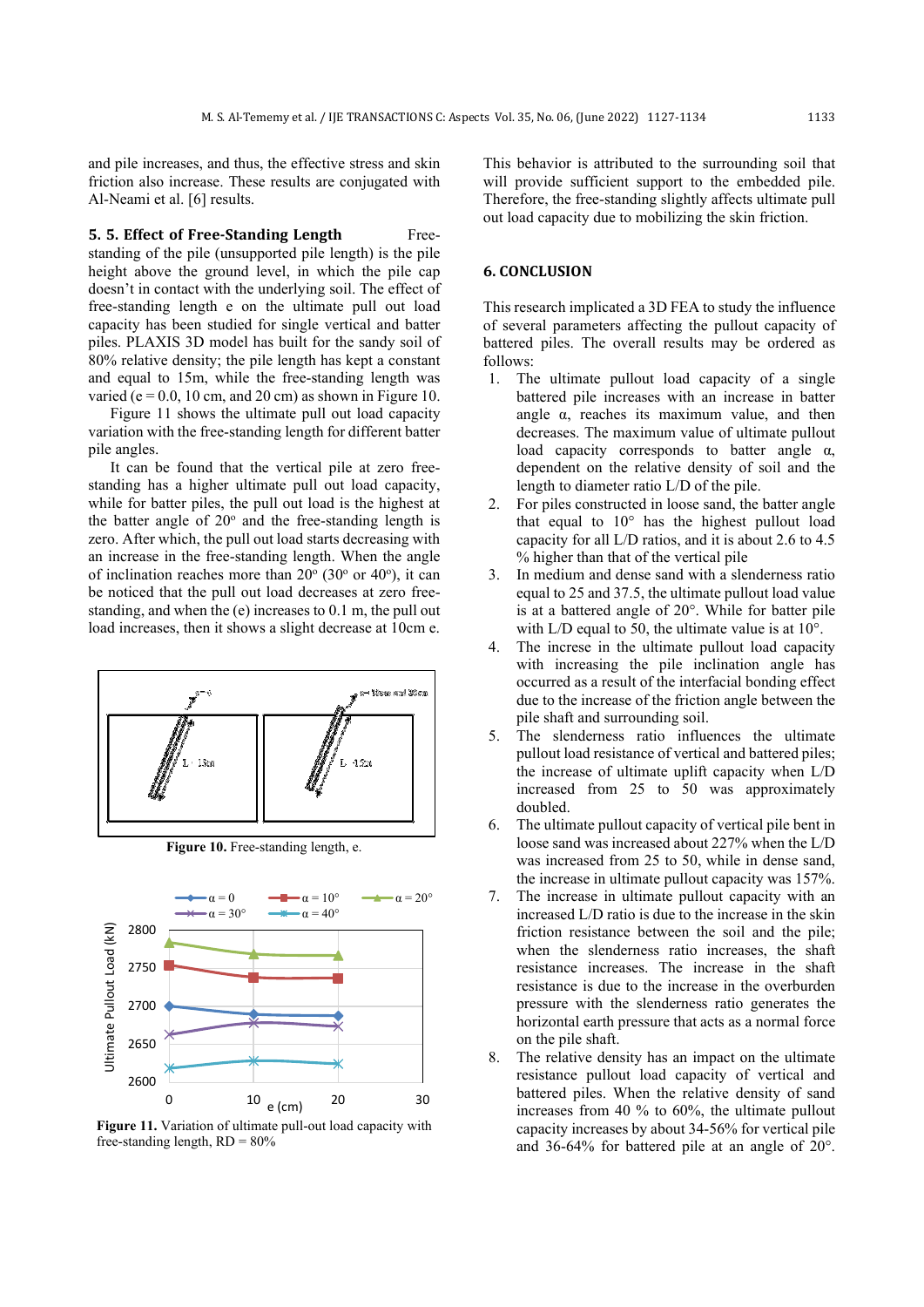and pile increases, and thus, the effective stress and skin friction also increase. These results are conjugated with Al-Neami et al. [6] results.

**5. 5. Effect of Free-Standing Length** Freestanding of the pile (unsupported pile length) is the pile height above the ground level, in which the pile cap doesn't in contact with the underlying soil. The effect of free-standing length e on the ultimate pull out load capacity has been studied for single vertical and batter piles. PLAXIS 3D model has built for the sandy soil of 80% relative density; the pile length has kept a constant and equal to 15m, while the free-standing length was varied ( $e = 0.0$ , 10 cm, and 20 cm) as shown in Figure 10.

Figure 11 shows the ultimate pull out load capacity variation with the free-standing length for different batter pile angles.

It can be found that the vertical pile at zero freestanding has a higher ultimate pull out load capacity, while for batter piles, the pull out load is the highest at the batter angle of  $20^{\circ}$  and the free-standing length is zero. After which, the pull out load starts decreasing with an increase in the free-standing length. When the angle of inclination reaches more than  $20^{\circ}$  (30° or 40°), it can be noticed that the pull out load decreases at zero freestanding, and when the (e) increases to 0.1 m, the pull out load increases, then it shows a slight decrease at 10cm e.



**Figure 10.** Free-standing length, e.



**Figure 11.** Variation of ultimate pull-out load capacity with free-standing length,  $RD = 80\%$ 

This behavior is attributed to the surrounding soil that will provide sufficient support to the embedded pile. Therefore, the free-standing slightly affects ultimate pull out load capacity due to mobilizing the skin friction.

# **6. CONCLUSION**

This research implicated a 3D FEA to study the influence of several parameters affecting the pullout capacity of battered piles. The overall results may be ordered as follows:

- 1. The ultimate pullout load capacity of a single battered pile increases with an increase in batter angle α, reaches its maximum value, and then decreases. The maximum value of ultimate pullout load capacity corresponds to batter angle α, dependent on the relative density of soil and the length to diameter ratio L/D of the pile.
- 2. For piles constructed in loose sand, the batter angle that equal to  $10^{\circ}$  has the highest pullout load capacity for all L/D ratios, and it is about 2.6 to 4.5 % higher than that of the vertical pile
- 3. In medium and dense sand with a slenderness ratio equal to 25 and 37.5, the ultimate pullout load value is at a battered angle of 20°. While for batter pile with L/D equal to 50, the ultimate value is at 10°.
- 4. The increse in the ultimate pullout load capacity with increasing the pile inclination angle has occurred as a result of the interfacial bonding effect due to the increase of the friction angle between the pile shaft and surrounding soil.
- 5. The slenderness ratio influences the ultimate pullout load resistance of vertical and battered piles; the increase of ultimate uplift capacity when L/D increased from 25 to 50 was approximately doubled.
- 6. The ultimate pullout capacity of vertical pile bent in loose sand was increased about 227% when the L/D was increased from 25 to 50, while in dense sand, the increase in ultimate pullout capacity was 157%.
- The increase in ultimate pullout capacity with an increased L/D ratio is due to the increase in the skin friction resistance between the soil and the pile; when the slenderness ratio increases, the shaft resistance increases. The increase in the shaft resistance is due to the increase in the overburden pressure with the slenderness ratio generates the horizontal earth pressure that acts as a normal force on the pile shaft.
- 8. The relative density has an impact on the ultimate resistance pullout load capacity of vertical and battered piles. When the relative density of sand increases from 40 % to 60%, the ultimate pullout capacity increases by about 34-56% for vertical pile and 36-64% for battered pile at an angle of 20°.